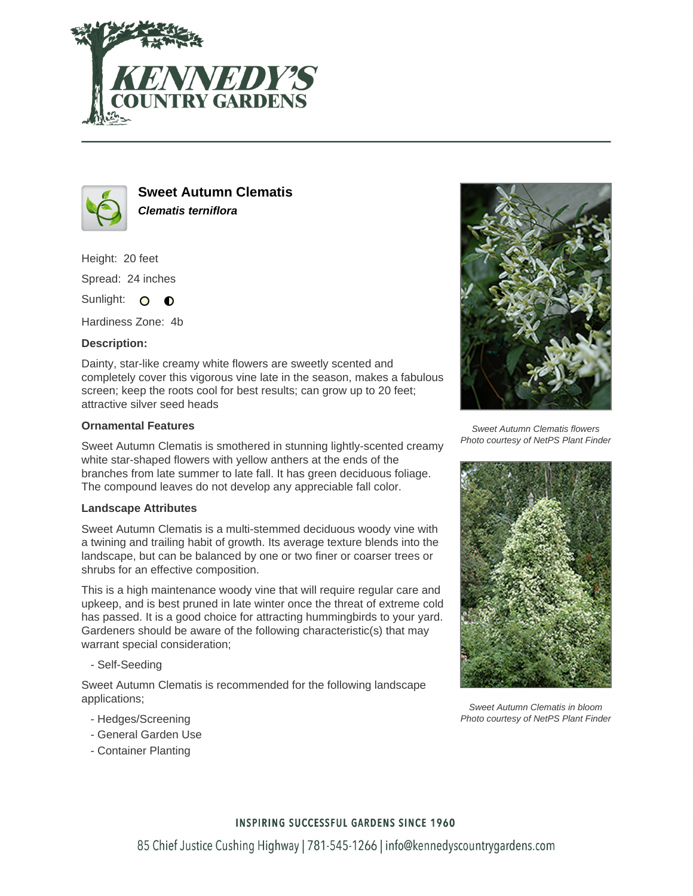



**Sweet Autumn Clematis Clematis terniflora**

Height: 20 feet Spread: 24 inches Sunlight: O **O** 

Hardiness Zone: 4b

## **Description:**

Dainty, star-like creamy white flowers are sweetly scented and completely cover this vigorous vine late in the season, makes a fabulous screen; keep the roots cool for best results; can grow up to 20 feet; attractive silver seed heads

### **Ornamental Features**

Sweet Autumn Clematis is smothered in stunning lightly-scented creamy white star-shaped flowers with yellow anthers at the ends of the branches from late summer to late fall. It has green deciduous foliage. The compound leaves do not develop any appreciable fall color.

### **Landscape Attributes**

Sweet Autumn Clematis is a multi-stemmed deciduous woody vine with a twining and trailing habit of growth. Its average texture blends into the landscape, but can be balanced by one or two finer or coarser trees or shrubs for an effective composition.

This is a high maintenance woody vine that will require regular care and upkeep, and is best pruned in late winter once the threat of extreme cold has passed. It is a good choice for attracting hummingbirds to your yard. Gardeners should be aware of the following characteristic(s) that may warrant special consideration;

- Self-Seeding

Sweet Autumn Clematis is recommended for the following landscape applications;

- Hedges/Screening
- General Garden Use
- Container Planting



Sweet Autumn Clematis flowers Photo courtesy of NetPS Plant Finder



Sweet Autumn Clematis in bloom Photo courtesy of NetPS Plant Finder

### **INSPIRING SUCCESSFUL GARDENS SINCE 1960**

85 Chief Justice Cushing Highway | 781-545-1266 | info@kennedyscountrygardens.com